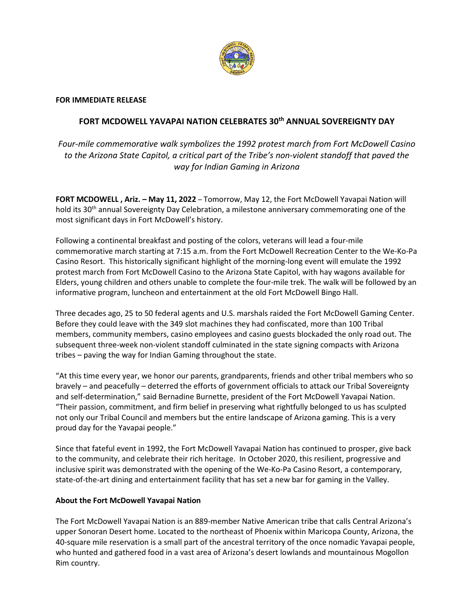

## **FOR IMMEDIATE RELEASE**

## **FORT MCDOWELL YAVAPAI NATION CELEBRATES 30th ANNUAL SOVEREIGNTY DAY**

*Four-mile commemorative walk symbolizes the 1992 protest march from Fort McDowell Casino to the Arizona State Capitol, a critical part of the Tribe's non-violent standoff that paved the way for Indian Gaming in Arizona*

**FORT MCDOWELL , Ariz. – May 11, 2022** – Tomorrow, May 12, the Fort McDowell Yavapai Nation will hold its 30<sup>th</sup> annual Sovereignty Day Celebration, a milestone anniversary commemorating one of the most significant days in Fort McDowell's history.

Following a continental breakfast and posting of the colors, veterans will lead a four-mile commemorative march starting at 7:15 a.m. from the Fort McDowell Recreation Center to the We-Ko-Pa Casino Resort. This historically significant highlight of the morning-long event will emulate the 1992 protest march from Fort McDowell Casino to the Arizona State Capitol, with hay wagons available for Elders, young children and others unable to complete the four-mile trek. The walk will be followed by an informative program, luncheon and entertainment at the old Fort McDowell Bingo Hall.

Three decades ago, 25 to 50 federal agents and U.S. marshals raided the Fort McDowell Gaming Center. Before they could leave with the 349 slot machines they had confiscated, more than 100 Tribal members, community members, casino employees and casino guests blockaded the only road out. The subsequent three-week non-violent standoff culminated in the state signing compacts with Arizona tribes – paving the way for Indian Gaming throughout the state.

"At this time every year, we honor our parents, grandparents, friends and other tribal members who so bravely – and peacefully – deterred the efforts of government officials to attack our Tribal Sovereignty and self-determination," said Bernadine Burnette, president of the Fort McDowell Yavapai Nation. "Their passion, commitment, and firm belief in preserving what rightfully belonged to us has sculpted not only our Tribal Council and members but the entire landscape of Arizona gaming. This is a very proud day for the Yavapai people."

Since that fateful event in 1992, the Fort McDowell Yavapai Nation has continued to prosper, give back to the community, and celebrate their rich heritage. In October 2020, this resilient, progressive and inclusive spirit was demonstrated with the opening of the We-Ko-Pa Casino Resort, a contemporary, state-of-the-art dining and entertainment facility that has set a new bar for gaming in the Valley.

## **About the Fort McDowell Yavapai Nation**

The Fort McDowell Yavapai Nation is an 889-member Native American tribe that calls Central Arizona's upper Sonoran Desert home. Located to the northeast of Phoenix within Maricopa County, Arizona, the 40-square mile reservation is a small part of the ancestral territory of the once nomadic Yavapai people, who hunted and gathered food in a vast area of Arizona's desert lowlands and mountainous Mogollon Rim country.